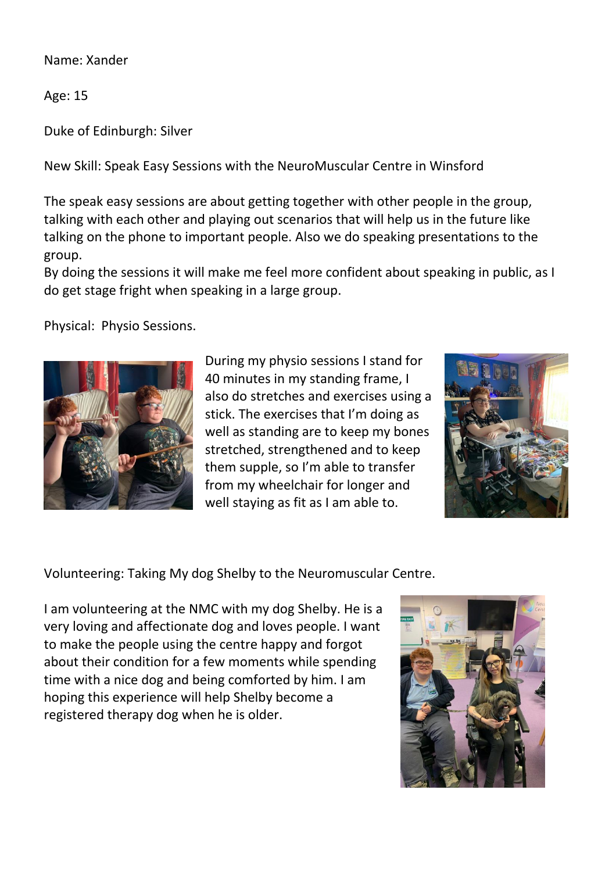Name: Xander

Age: 15

Duke of Edinburgh: Silver

New Skill: Speak Easy Sessions with the NeuroMuscular Centre in Winsford

The speak easy sessions are about getting together with other people in the group, talking with each other and playing out scenarios that will help us in the future like talking on the phone to important people. Also we do speaking presentations to the group.

By doing the sessions it will make me feel more confident about speaking in public, as I do get stage fright when speaking in a large group.

Physical: Physio Sessions.



During my physio sessions I stand for 40 minutes in my standing frame, I also do stretches and exercises using a stick. The exercises that I'm doing as well as standing are to keep my bones stretched, strengthened and to keep them supple, so I'm able to transfer from my wheelchair for longer and well staying as fit as I am able to.



Volunteering: Taking My dog Shelby to the Neuromuscular Centre.

I am volunteering at the NMC with my dog Shelby. He is a very loving and affectionate dog and loves people. I want to make the people using the centre happy and forgot about their condition for a few moments while spending time with a nice dog and being comforted by him. I am hoping this experience will help Shelby become a registered therapy dog when he is older.